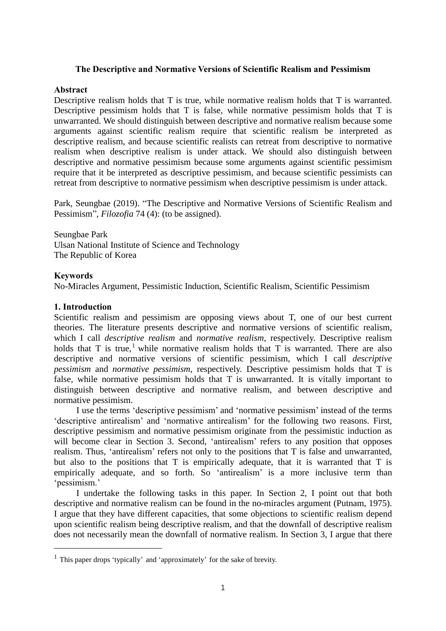# **The Descriptive and Normative Versions of Scientific Realism and Pessimism**

# **Abstract**

Descriptive realism holds that T is true, while normative realism holds that T is warranted. Descriptive pessimism holds that T is false, while normative pessimism holds that T is unwarranted. We should distinguish between descriptive and normative realism because some arguments against scientific realism require that scientific realism be interpreted as descriptive realism, and because scientific realists can retreat from descriptive to normative realism when descriptive realism is under attack. We should also distinguish between descriptive and normative pessimism because some arguments against scientific pessimism require that it be interpreted as descriptive pessimism, and because scientific pessimists can retreat from descriptive to normative pessimism when descriptive pessimism is under attack.

Park, Seungbae (2019). "The Descriptive and Normative Versions of Scientific Realism and Pessimism", *Filozofia* 74 (4): (to be assigned).

Seungbae Park Ulsan National Institute of Science and Technology The Republic of Korea

# **Keywords**

 $\overline{a}$ 

No-Miracles Argument, Pessimistic Induction, Scientific Realism, Scientific Pessimism

# **1. Introduction**

Scientific realism and pessimism are opposing views about T, one of our best current theories. The literature presents descriptive and normative versions of scientific realism, which I call *descriptive realism* and *normative realism*, respectively. Descriptive realism holds that T is true,<sup>1</sup> while normative realism holds that T is warranted. There are also descriptive and normative versions of scientific pessimism, which I call *descriptive pessimism* and *normative pessimism*, respectively. Descriptive pessimism holds that T is false, while normative pessimism holds that T is unwarranted. It is vitally important to distinguish between descriptive and normative realism, and between descriptive and normative pessimism.

I use the terms 'descriptive pessimism' and 'normative pessimism' instead of the terms 'descriptive antirealism' and 'normative antirealism' for the following two reasons. First, descriptive pessimism and normative pessimism originate from the pessimistic induction as will become clear in Section 3. Second, 'antirealism' refers to any position that opposes realism. Thus, 'antirealism' refers not only to the positions that T is false and unwarranted, but also to the positions that T is empirically adequate, that it is warranted that T is empirically adequate, and so forth. So 'antirealism' is a more inclusive term than 'pessimism.'

I undertake the following tasks in this paper. In Section 2, I point out that both descriptive and normative realism can be found in the no-miracles argument (Putnam, 1975). I argue that they have different capacities, that some objections to scientific realism depend upon scientific realism being descriptive realism, and that the downfall of descriptive realism does not necessarily mean the downfall of normative realism. In Section 3, I argue that there

<sup>&</sup>lt;sup>1</sup> This paper drops 'typically' and 'approximately' for the sake of brevity.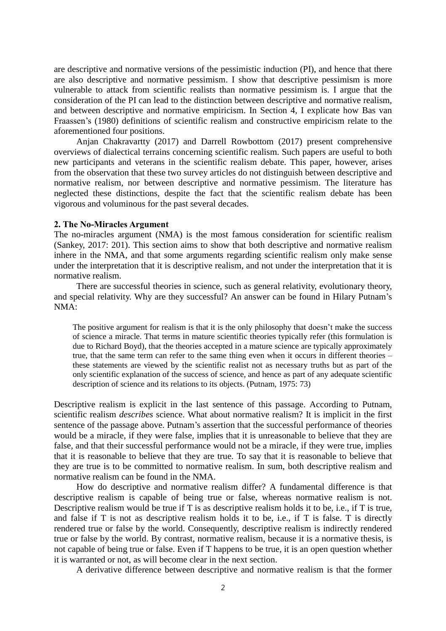are descriptive and normative versions of the pessimistic induction (PI), and hence that there are also descriptive and normative pessimism. I show that descriptive pessimism is more vulnerable to attack from scientific realists than normative pessimism is. I argue that the consideration of the PI can lead to the distinction between descriptive and normative realism, and between descriptive and normative empiricism. In Section 4, I explicate how Bas van Fraassen's (1980) definitions of scientific realism and constructive empiricism relate to the aforementioned four positions.

Anjan Chakravartty (2017) and Darrell Rowbottom (2017) present comprehensive overviews of dialectical terrains concerning scientific realism. Such papers are useful to both new participants and veterans in the scientific realism debate. This paper, however, arises from the observation that these two survey articles do not distinguish between descriptive and normative realism, nor between descriptive and normative pessimism. The literature has neglected these distinctions, despite the fact that the scientific realism debate has been vigorous and voluminous for the past several decades.

#### **2. The No-Miracles Argument**

The no-miracles argument (NMA) is the most famous consideration for scientific realism (Sankey, 2017: 201). This section aims to show that both descriptive and normative realism inhere in the NMA, and that some arguments regarding scientific realism only make sense under the interpretation that it is descriptive realism, and not under the interpretation that it is normative realism.

There are successful theories in science, such as general relativity, evolutionary theory, and special relativity. Why are they successful? An answer can be found in Hilary Putnam's NMA:

The positive argument for realism is that it is the only philosophy that doesn't make the success of science a miracle. That terms in mature scientific theories typically refer (this formulation is due to Richard Boyd), that the theories accepted in a mature science are typically approximately true, that the same term can refer to the same thing even when it occurs in different theories – these statements are viewed by the scientific realist not as necessary truths but as part of the only scientific explanation of the success of science, and hence as part of any adequate scientific description of science and its relations to its objects. (Putnam, 1975: 73)

Descriptive realism is explicit in the last sentence of this passage. According to Putnam, scientific realism *describes* science. What about normative realism? It is implicit in the first sentence of the passage above. Putnam's assertion that the successful performance of theories would be a miracle, if they were false, implies that it is unreasonable to believe that they are false, and that their successful performance would not be a miracle, if they were true, implies that it is reasonable to believe that they are true. To say that it is reasonable to believe that they are true is to be committed to normative realism. In sum, both descriptive realism and normative realism can be found in the NMA.

How do descriptive and normative realism differ? A fundamental difference is that descriptive realism is capable of being true or false, whereas normative realism is not. Descriptive realism would be true if T is as descriptive realism holds it to be, i.e., if T is true, and false if T is not as descriptive realism holds it to be, i.e., if T is false. T is directly rendered true or false by the world. Consequently, descriptive realism is indirectly rendered true or false by the world. By contrast, normative realism, because it is a normative thesis, is not capable of being true or false. Even if T happens to be true, it is an open question whether it is warranted or not, as will become clear in the next section.

A derivative difference between descriptive and normative realism is that the former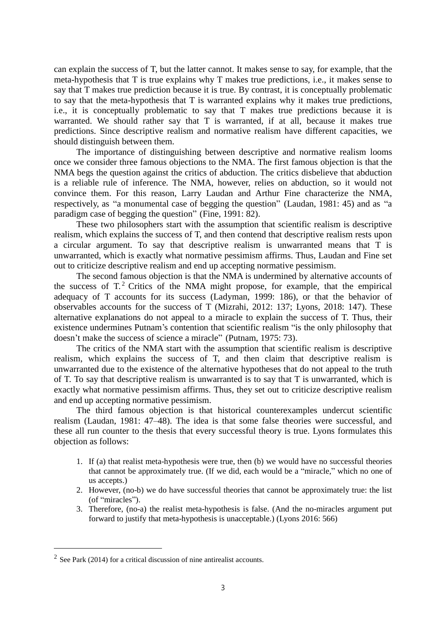can explain the success of T, but the latter cannot. It makes sense to say, for example, that the meta-hypothesis that T is true explains why T makes true predictions, i.e., it makes sense to say that T makes true prediction because it is true. By contrast, it is conceptually problematic to say that the meta-hypothesis that T is warranted explains why it makes true predictions, i.e., it is conceptually problematic to say that T makes true predictions because it is warranted. We should rather say that T is warranted, if at all, because it makes true predictions. Since descriptive realism and normative realism have different capacities, we should distinguish between them.

The importance of distinguishing between descriptive and normative realism looms once we consider three famous objections to the NMA. The first famous objection is that the NMA begs the question against the critics of abduction. The critics disbelieve that abduction is a reliable rule of inference. The NMA, however, relies on abduction, so it would not convince them. For this reason, Larry Laudan and Arthur Fine characterize the NMA, respectively, as "a monumental case of begging the question" (Laudan, 1981: 45) and as "a paradigm case of begging the question" (Fine, 1991: 82).

These two philosophers start with the assumption that scientific realism is descriptive realism, which explains the success of T, and then contend that descriptive realism rests upon a circular argument. To say that descriptive realism is unwarranted means that T is unwarranted, which is exactly what normative pessimism affirms. Thus, Laudan and Fine set out to criticize descriptive realism and end up accepting normative pessimism.

The second famous objection is that the NMA is undermined by alternative accounts of the success of  $T<sup>2</sup>$  Critics of the NMA might propose, for example, that the empirical adequacy of T accounts for its success (Ladyman, 1999: 186), or that the behavior of observables accounts for the success of T (Mizrahi, 2012: 137; Lyons, 2018: 147). These alternative explanations do not appeal to a miracle to explain the success of T. Thus, their existence undermines Putnam's contention that scientific realism "is the only philosophy that doesn't make the success of science a miracle" (Putnam, 1975: 73).

The critics of the NMA start with the assumption that scientific realism is descriptive realism, which explains the success of T, and then claim that descriptive realism is unwarranted due to the existence of the alternative hypotheses that do not appeal to the truth of T. To say that descriptive realism is unwarranted is to say that T is unwarranted, which is exactly what normative pessimism affirms. Thus, they set out to criticize descriptive realism and end up accepting normative pessimism.

The third famous objection is that historical counterexamples undercut scientific realism (Laudan, 1981: 47–48). The idea is that some false theories were successful, and these all run counter to the thesis that every successful theory is true. Lyons formulates this objection as follows:

- 1. If (a) that realist meta-hypothesis were true, then (b) we would have no successful theories that cannot be approximately true. (If we did, each would be a "miracle," which no one of us accepts.)
- 2. However, (no-b) we do have successful theories that cannot be approximately true: the list (of "miracles").
- 3. Therefore, (no-a) the realist meta-hypothesis is false. (And the no-miracles argument put forward to justify that meta-hypothesis is unacceptable.) (Lyons 2016: 566)

 $\overline{a}$ 

 $2^2$  See Park (2014) for a critical discussion of nine antirealist accounts.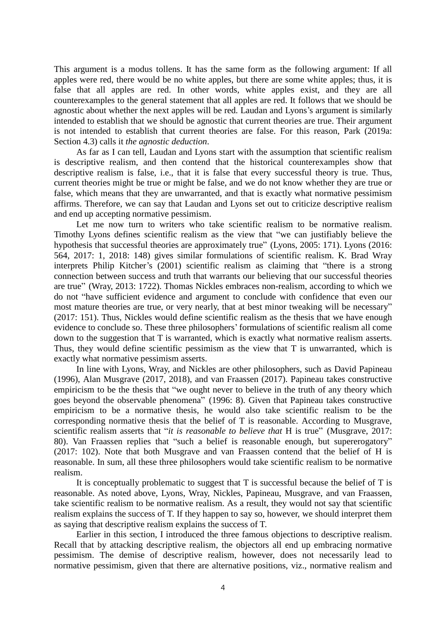This argument is a modus tollens. It has the same form as the following argument: If all apples were red, there would be no white apples, but there are some white apples; thus, it is false that all apples are red. In other words, white apples exist, and they are all counterexamples to the general statement that all apples are red. It follows that we should be agnostic about whether the next apples will be red. Laudan and Lyons's argument is similarly intended to establish that we should be agnostic that current theories are true. Their argument is not intended to establish that current theories are false. For this reason, Park (2019a: Section 4.3) calls it *the agnostic deduction*.

As far as I can tell, Laudan and Lyons start with the assumption that scientific realism is descriptive realism, and then contend that the historical counterexamples show that descriptive realism is false, i.e., that it is false that every successful theory is true. Thus, current theories might be true or might be false, and we do not know whether they are true or false, which means that they are unwarranted, and that is exactly what normative pessimism affirms. Therefore, we can say that Laudan and Lyons set out to criticize descriptive realism and end up accepting normative pessimism.

Let me now turn to writers who take scientific realism to be normative realism. Timothy Lyons defines scientific realism as the view that "we can justifiably believe the hypothesis that successful theories are approximately true" (Lyons, 2005: 171). Lyons (2016: 564, 2017: 1, 2018: 148) gives similar formulations of scientific realism. K. Brad Wray interprets Philip Kitcher's (2001) scientific realism as claiming that "there is a strong connection between success and truth that warrants our believing that our successful theories are true" (Wray, 2013: 1722). Thomas Nickles embraces non-realism, according to which we do not "have sufficient evidence and argument to conclude with confidence that even our most mature theories are true, or very nearly, that at best minor tweaking will be necessary" (2017: 151). Thus, Nickles would define scientific realism as the thesis that we have enough evidence to conclude so. These three philosophers' formulations of scientific realism all come down to the suggestion that T is warranted, which is exactly what normative realism asserts. Thus, they would define scientific pessimism as the view that T is unwarranted, which is exactly what normative pessimism asserts.

In line with Lyons, Wray, and Nickles are other philosophers, such as David Papineau (1996), Alan Musgrave (2017, 2018), and van Fraassen (2017). Papineau takes constructive empiricism to be the thesis that "we ought never to believe in the truth of any theory which goes beyond the observable phenomena" (1996: 8). Given that Papineau takes constructive empiricism to be a normative thesis, he would also take scientific realism to be the corresponding normative thesis that the belief of T is reasonable. According to Musgrave, scientific realism asserts that "*it is reasonable to believe that* H is true" (Musgrave, 2017: 80). Van Fraassen replies that "such a belief is reasonable enough, but supererogatory" (2017: 102). Note that both Musgrave and van Fraassen contend that the belief of H is reasonable. In sum, all these three philosophers would take scientific realism to be normative realism.

It is conceptually problematic to suggest that T is successful because the belief of T is reasonable. As noted above, Lyons, Wray, Nickles, Papineau, Musgrave, and van Fraassen, take scientific realism to be normative realism. As a result, they would not say that scientific realism explains the success of T. If they happen to say so, however, we should interpret them as saying that descriptive realism explains the success of T.

Earlier in this section, I introduced the three famous objections to descriptive realism. Recall that by attacking descriptive realism, the objectors all end up embracing normative pessimism. The demise of descriptive realism, however, does not necessarily lead to normative pessimism, given that there are alternative positions, viz., normative realism and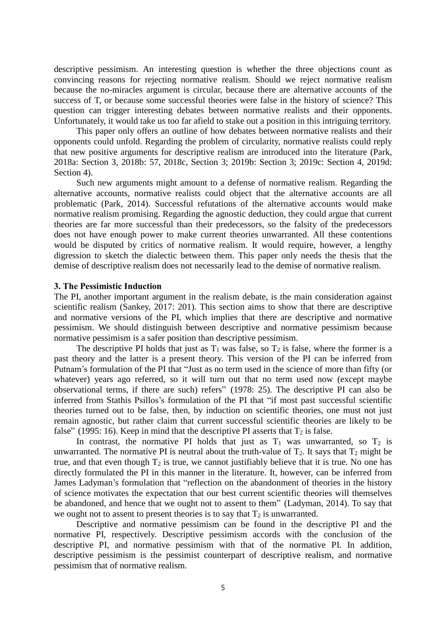descriptive pessimism. An interesting question is whether the three objections count as convincing reasons for rejecting normative realism. Should we reject normative realism because the no-miracles argument is circular, because there are alternative accounts of the success of T, or because some successful theories were false in the history of science? This question can trigger interesting debates between normative realists and their opponents. Unfortunately, it would take us too far afield to stake out a position in this intriguing territory.

This paper only offers an outline of how debates between normative realists and their opponents could unfold. Regarding the problem of circularity, normative realists could reply that new positive arguments for descriptive realism are introduced into the literature (Park, 2018a: Section 3, 2018b: 57, 2018c, Section 3; 2019b: Section 3; 2019c: Section 4, 2019d: Section 4).

Such new arguments might amount to a defense of normative realism. Regarding the alternative accounts, normative realists could object that the alternative accounts are all problematic (Park, 2014). Successful refutations of the alternative accounts would make normative realism promising. Regarding the agnostic deduction, they could argue that current theories are far more successful than their predecessors, so the falsity of the predecessors does not have enough power to make current theories unwarranted. All these contentions would be disputed by critics of normative realism. It would require, however, a lengthy digression to sketch the dialectic between them. This paper only needs the thesis that the demise of descriptive realism does not necessarily lead to the demise of normative realism.

#### **3. The Pessimistic Induction**

The PI, another important argument in the realism debate, is the main consideration against scientific realism (Sankey, 2017: 201). This section aims to show that there are descriptive and normative versions of the PI, which implies that there are descriptive and normative pessimism. We should distinguish between descriptive and normative pessimism because normative pessimism is a safer position than descriptive pessimism.

The descriptive PI holds that just as  $T_1$  was false, so  $T_2$  is false, where the former is a past theory and the latter is a present theory. This version of the PI can be inferred from Putnam's formulation of the PI that "Just as no term used in the science of more than fifty (or whatever) years ago referred, so it will turn out that no term used now (except maybe observational terms, if there are such) refers" (1978: 25). The descriptive PI can also be inferred from Stathis Psillos's formulation of the PI that "if most past successful scientific theories turned out to be false, then, by induction on scientific theories, one must not just remain agnostic, but rather claim that current successful scientific theories are likely to be false" (1995: 16). Keep in mind that the descriptive PI asserts that  $T_2$  is false.

In contrast, the normative PI holds that just as  $T_1$  was unwarranted, so  $T_2$  is unwarranted. The normative PI is neutral about the truth-value of  $T_2$ . It says that  $T_2$  might be true, and that even though  $T_2$  is true, we cannot justifiably believe that it is true. No one has directly formulated the PI in this manner in the literature. It, however, can be inferred from James Ladyman's formulation that "reflection on the abandonment of theories in the history of science motivates the expectation that our best current scientific theories will themselves be abandoned, and hence that we ought not to assent to them" (Ladyman, 2014). To say that we ought not to assent to present theories is to say that  $T_2$  is unwarranted.

Descriptive and normative pessimism can be found in the descriptive PI and the normative PI, respectively. Descriptive pessimism accords with the conclusion of the descriptive PI, and normative pessimism with that of the normative PI. In addition, descriptive pessimism is the pessimist counterpart of descriptive realism, and normative pessimism that of normative realism.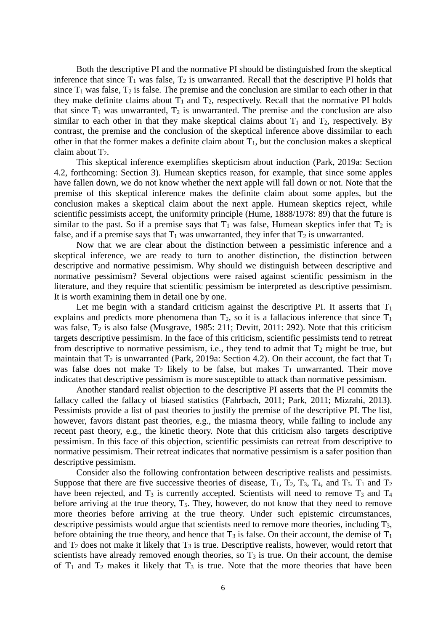Both the descriptive PI and the normative PI should be distinguished from the skeptical inference that since  $T_1$  was false,  $T_2$  is unwarranted. Recall that the descriptive PI holds that since  $T_1$  was false,  $T_2$  is false. The premise and the conclusion are similar to each other in that they make definite claims about  $T_1$  and  $T_2$ , respectively. Recall that the normative PI holds that since  $T_1$  was unwarranted,  $T_2$  is unwarranted. The premise and the conclusion are also similar to each other in that they make skeptical claims about  $T_1$  and  $T_2$ , respectively. By contrast, the premise and the conclusion of the skeptical inference above dissimilar to each other in that the former makes a definite claim about  $T_1$ , but the conclusion makes a skeptical claim about  $T_2$ .

This skeptical inference exemplifies skepticism about induction (Park, 2019a: Section 4.2, forthcoming: Section 3). Humean skeptics reason, for example, that since some apples have fallen down, we do not know whether the next apple will fall down or not. Note that the premise of this skeptical inference makes the definite claim about some apples, but the conclusion makes a skeptical claim about the next apple. Humean skeptics reject, while scientific pessimists accept, the uniformity principle (Hume, 1888/1978: 89) that the future is similar to the past. So if a premise says that  $T_1$  was false, Humean skeptics infer that  $T_2$  is false, and if a premise says that  $T_1$  was unwarranted, they infer that  $T_2$  is unwarranted.

Now that we are clear about the distinction between a pessimistic inference and a skeptical inference, we are ready to turn to another distinction, the distinction between descriptive and normative pessimism. Why should we distinguish between descriptive and normative pessimism? Several objections were raised against scientific pessimism in the literature, and they require that scientific pessimism be interpreted as descriptive pessimism. It is worth examining them in detail one by one.

Let me begin with a standard criticism against the descriptive PI. It asserts that  $T_1$ explains and predicts more phenomena than  $T_2$ , so it is a fallacious inference that since  $T_1$ was false, T<sub>2</sub> is also false (Musgrave, 1985: 211; Devitt, 2011: 292). Note that this criticism targets descriptive pessimism. In the face of this criticism, scientific pessimists tend to retreat from descriptive to normative pessimism, i.e., they tend to admit that  $T_2$  might be true, but maintain that  $T_2$  is unwarranted (Park, 2019a: Section 4.2). On their account, the fact that  $T_1$ was false does not make  $T_2$  likely to be false, but makes  $T_1$  unwarranted. Their move indicates that descriptive pessimism is more susceptible to attack than normative pessimism.

Another standard realist objection to the descriptive PI asserts that the PI commits the fallacy called the fallacy of biased statistics (Fahrbach, 2011; Park, 2011; Mizrahi, 2013). Pessimists provide a list of past theories to justify the premise of the descriptive PI. The list, however, favors distant past theories, e.g., the miasma theory, while failing to include any recent past theory, e.g., the kinetic theory. Note that this criticism also targets descriptive pessimism. In this face of this objection, scientific pessimists can retreat from descriptive to normative pessimism. Their retreat indicates that normative pessimism is a safer position than descriptive pessimism.

Consider also the following confrontation between descriptive realists and pessimists. Suppose that there are five successive theories of disease,  $T_1$ ,  $T_2$ ,  $T_3$ ,  $T_4$ , and  $T_5$ .  $T_1$  and  $T_2$ have been rejected, and  $T_3$  is currently accepted. Scientists will need to remove  $T_3$  and  $T_4$ before arriving at the true theory, T<sub>5</sub>. They, however, do not know that they need to remove more theories before arriving at the true theory. Under such epistemic circumstances, descriptive pessimists would argue that scientists need to remove more theories, including T3, before obtaining the true theory, and hence that  $T_3$  is false. On their account, the demise of  $T_1$ and  $T_2$  does not make it likely that  $T_3$  is true. Descriptive realists, however, would retort that scientists have already removed enough theories, so  $T_3$  is true. On their account, the demise of  $T_1$  and  $T_2$  makes it likely that  $T_3$  is true. Note that the more theories that have been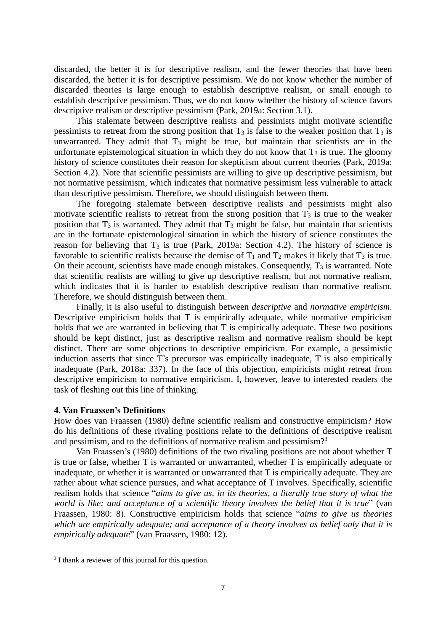discarded, the better it is for descriptive realism, and the fewer theories that have been discarded, the better it is for descriptive pessimism. We do not know whether the number of discarded theories is large enough to establish descriptive realism, or small enough to establish descriptive pessimism. Thus, we do not know whether the history of science favors descriptive realism or descriptive pessimism (Park, 2019a: Section 3.1).

This stalemate between descriptive realists and pessimists might motivate scientific pessimists to retreat from the strong position that  $T_3$  is false to the weaker position that  $T_3$  is unwarranted. They admit that  $T_3$  might be true, but maintain that scientists are in the unfortunate epistemological situation in which they do not know that  $T_3$  is true. The gloomy history of science constitutes their reason for skepticism about current theories (Park, 2019a: Section 4.2). Note that scientific pessimists are willing to give up descriptive pessimism, but not normative pessimism, which indicates that normative pessimism less vulnerable to attack than descriptive pessimism. Therefore, we should distinguish between them.

The foregoing stalemate between descriptive realists and pessimists might also motivate scientific realists to retreat from the strong position that  $T_3$  is true to the weaker position that  $T_3$  is warranted. They admit that  $T_3$  might be false, but maintain that scientists are in the fortunate epistemological situation in which the history of science constitutes the reason for believing that  $T_3$  is true (Park, 2019a: Section 4.2). The history of science is favorable to scientific realists because the demise of  $T_1$  and  $T_2$  makes it likely that  $T_3$  is true. On their account, scientists have made enough mistakes. Consequently,  $T_3$  is warranted. Note that scientific realists are willing to give up descriptive realism, but not normative realism, which indicates that it is harder to establish descriptive realism than normative realism. Therefore, we should distinguish between them.

Finally, it is also useful to distinguish between *descriptive* and *normative empiricism*. Descriptive empiricism holds that T is empirically adequate, while normative empiricism holds that we are warranted in believing that T is empirically adequate. These two positions should be kept distinct, just as descriptive realism and normative realism should be kept distinct. There are some objections to descriptive empiricism. For example, a pessimistic induction asserts that since T's precursor was empirically inadequate, T is also empirically inadequate (Park, 2018a: 337). In the face of this objection, empiricists might retreat from descriptive empiricism to normative empiricism. I, however, leave to interested readers the task of fleshing out this line of thinking.

### **4. Van Fraassen's Definitions**

How does van Fraassen (1980) define scientific realism and constructive empiricism? How do his definitions of these rivaling positions relate to the definitions of descriptive realism and pessimism, and to the definitions of normative realism and pessimism?<sup>3</sup>

Van Fraassen's (1980) definitions of the two rivaling positions are not about whether T is true or false, whether T is warranted or unwarranted, whether T is empirically adequate or inadequate, or whether it is warranted or unwarranted that T is empirically adequate. They are rather about what science pursues, and what acceptance of T involves. Specifically, scientific realism holds that science "*aims to give us, in its theories, a literally true story of what the world is like; and acceptance of a scientific theory involves the belief that it is true*" (van Fraassen, 1980: 8). Constructive empiricism holds that science "*aims to give us theories which are empirically adequate; and acceptance of a theory involves as belief only that it is empirically adequate*" (van Fraassen, 1980: 12).

 $\overline{a}$ 

<sup>&</sup>lt;sup>3</sup> I thank a reviewer of this journal for this question.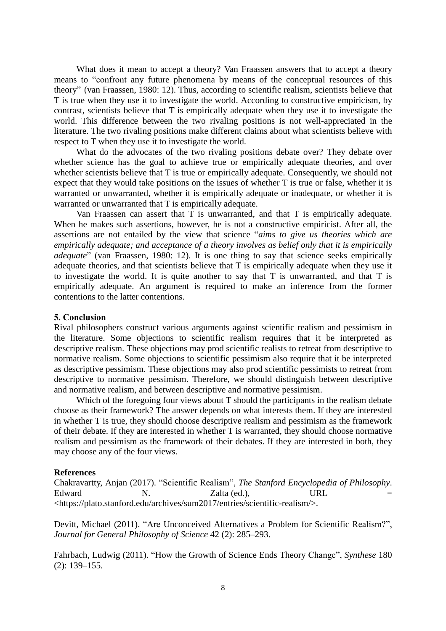What does it mean to accept a theory? Van Fraassen answers that to accept a theory means to "confront any future phenomena by means of the conceptual resources of this theory" (van Fraassen, 1980: 12). Thus, according to scientific realism, scientists believe that T is true when they use it to investigate the world. According to constructive empiricism, by contrast, scientists believe that T is empirically adequate when they use it to investigate the world. This difference between the two rivaling positions is not well-appreciated in the literature. The two rivaling positions make different claims about what scientists believe with respect to T when they use it to investigate the world.

What do the advocates of the two rivaling positions debate over? They debate over whether science has the goal to achieve true or empirically adequate theories, and over whether scientists believe that T is true or empirically adequate. Consequently, we should not expect that they would take positions on the issues of whether T is true or false, whether it is warranted or unwarranted, whether it is empirically adequate or inadequate, or whether it is warranted or unwarranted that T is empirically adequate.

Van Fraassen can assert that T is unwarranted, and that T is empirically adequate. When he makes such assertions, however, he is not a constructive empiricist. After all, the assertions are not entailed by the view that science "*aims to give us theories which are empirically adequate; and acceptance of a theory involves as belief only that it is empirically adequate*" (van Fraassen, 1980: 12). It is one thing to say that science seeks empirically adequate theories, and that scientists believe that T is empirically adequate when they use it to investigate the world. It is quite another to say that T is unwarranted, and that T is empirically adequate. An argument is required to make an inference from the former contentions to the latter contentions.

### **5. Conclusion**

Rival philosophers construct various arguments against scientific realism and pessimism in the literature. Some objections to scientific realism requires that it be interpreted as descriptive realism. These objections may prod scientific realists to retreat from descriptive to normative realism. Some objections to scientific pessimism also require that it be interpreted as descriptive pessimism. These objections may also prod scientific pessimists to retreat from descriptive to normative pessimism. Therefore, we should distinguish between descriptive and normative realism, and between descriptive and normative pessimism.

Which of the foregoing four views about T should the participants in the realism debate choose as their framework? The answer depends on what interests them. If they are interested in whether T is true, they should choose descriptive realism and pessimism as the framework of their debate. If they are interested in whether T is warranted, they should choose normative realism and pessimism as the framework of their debates. If they are interested in both, they may choose any of the four views.

#### **References**

Chakravartty, Anjan (2017). "Scientific Realism", *The Stanford Encyclopedia of Philosophy*. Edward N. Zalta (ed.), URL = <https://plato.stanford.edu/archives/sum2017/entries/scientific-realism/>.

Devitt, Michael (2011). "Are Unconceived Alternatives a Problem for Scientific Realism?", *Journal for General Philosophy of Science* 42 (2): 285–293.

Fahrbach, Ludwig (2011). "How the Growth of Science Ends Theory Change", *Synthese* 180 (2): 139–155.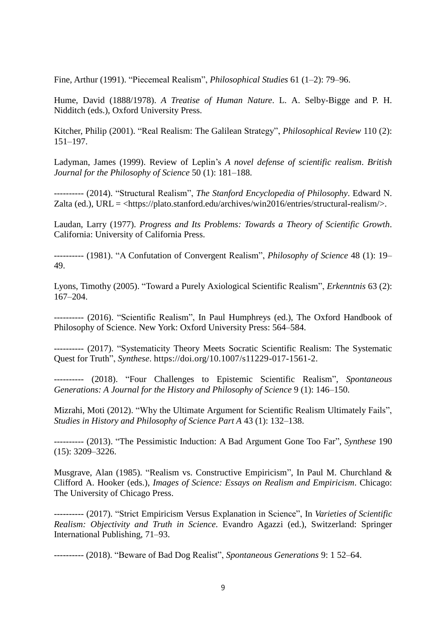Fine, Arthur (1991). "Piecemeal Realism", *Philosophical Studies* 61 (1–2): 79–96.

Hume, David (1888/1978). *A Treatise of Human Nature*. L. A. Selby-Bigge and P. H. Nidditch (eds.), Oxford University Press.

Kitcher, Philip (2001). "Real Realism: The Galilean Strategy", *Philosophical Review* 110 (2): 151–197.

Ladyman, James (1999). Review of Leplin's *A novel defense of scientific realism*. *British Journal for the Philosophy of Science* 50 (1): 181–188.

---------- (2014). "Structural Realism", *The Stanford Encyclopedia of Philosophy*. Edward N. Zalta (ed.), URL = [<https://plato.stanford.edu/archives/win2016/entries/structural-realism/>](https://plato.stanford.edu/archives/win2016/entries/structural-realism/).

Laudan, Larry (1977). *Progress and Its Problems: Towards a Theory of Scientific Growth*. California: University of California Press.

---------- (1981). "A Confutation of Convergent Realism", *Philosophy of Science* 48 (1): 19– 49.

Lyons, Timothy (2005). "Toward a Purely Axiological Scientific Realism", *Erkenntnis* 63 (2): 167–204.

---------- (2016). "Scientific Realism", In Paul Humphreys (ed.), The Oxford Handbook of Philosophy of Science. New York: Oxford University Press: 564–584.

---------- (2017). "Systematicity Theory Meets Socratic Scientific Realism: The Systematic Quest for Truth", *Synthese*. https://doi.org/10.1007/s11229-017-1561-2.

---------- (2018). "Four Challenges to Epistemic Scientific Realism", *Spontaneous Generations: A Journal for the History and Philosophy of Science* 9 (1): 146–150.

Mizrahi, Moti (2012). "Why the Ultimate Argument for Scientific Realism Ultimately Fails", *Studies in History and Philosophy of Science Part A* 43 (1): 132–138.

---------- (2013). "The Pessimistic Induction: A Bad Argument Gone Too Far", *Synthese* 190 (15): 3209–3226.

Musgrave, Alan (1985). "Realism vs. Constructive Empiricism", In Paul M. Churchland  $\&$ Clifford A. Hooker (eds.), *Images of Science: Essays on Realism and Empiricism*. Chicago: The University of Chicago Press.

---------- (2017). "Strict Empiricism Versus Explanation in Science", In *Varieties of Scientific Realism: Objectivity and Truth in Science*. Evandro Agazzi (ed.), Switzerland: Springer International Publishing, 71–93.

---------- (2018). "Beware of Bad Dog Realist", *Spontaneous Generations* 9: 1 52–64.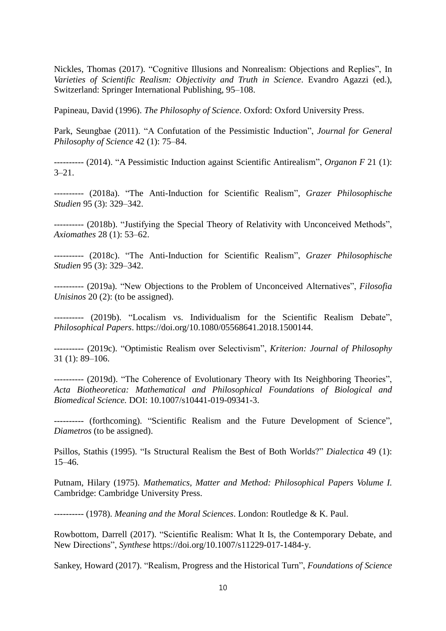Nickles, Thomas (2017). "Cognitive Illusions and Nonrealism: Objections and Replies", In *Varieties of Scientific Realism: Objectivity and Truth in Science*. Evandro Agazzi (ed.), Switzerland: Springer International Publishing, 95–108.

Papineau, David (1996). *The Philosophy of Science*. Oxford: Oxford University Press.

Park, Seungbae (2011). "A Confutation of the Pessimistic Induction", *Journal for General Philosophy of Science* 42 (1): 75–84.

---------- (2014). "A Pessimistic Induction against Scientific Antirealism", *Organon F* 21 (1):  $3 - 21$ .

---------- (2018a). "The Anti-Induction for Scientific Realism", *Grazer Philosophische Studien* 95 (3): 329–342.

---------- (2018b). "Justifying the Special Theory of Relativity with Unconceived Methods", *Axiomathes* 28 (1): 53–62.

---------- (2018c). "The Anti-Induction for Scientific Realism", *Grazer Philosophische Studien* 95 (3): 329–342.

---------- (2019a). "New Objections to the Problem of Unconceived Alternatives", *Filosofia Unisinos* 20 (2): (to be assigned).

---------- (2019b). "Localism vs. Individualism for the Scientific Realism Debate", *Philosophical Papers*. https://doi.org/10.1080/05568641.2018.1500144.

---------- (2019c). "Optimistic Realism over Selectivism", *Kriterion: Journal of Philosophy* 31 (1): 89–106.

---------- (2019d). "The Coherence of Evolutionary Theory with Its Neighboring Theories", *Acta Biotheoretica: Mathematical and Philosophical Foundations of Biological and Biomedical Science.* DOI: 10.1007/s10441-019-09341-3.

---------- (forthcoming). "Scientific Realism and the Future Development of Science", *Diametros* (to be assigned).

Psillos, Stathis (1995). "Is Structural Realism the Best of Both Worlds?" *Dialectica* 49 (1): 15–46.

Putnam, Hilary (1975). *Mathematics, Matter and Method: Philosophical Papers Volume I.* Cambridge: Cambridge University Press.

---------- (1978). *Meaning and the Moral Sciences*. London: Routledge & K. Paul.

Rowbottom, Darrell (2017). "Scientific Realism: What It Is, the Contemporary Debate, and New Directions", *Synthese* [https://doi.org/10.1007/s11229-017-1484-y.](https://doi.org/10.1007/s11229-017-1484-y)

Sankey, Howard (2017). "Realism, Progress and the Historical Turn", *Foundations of Science*